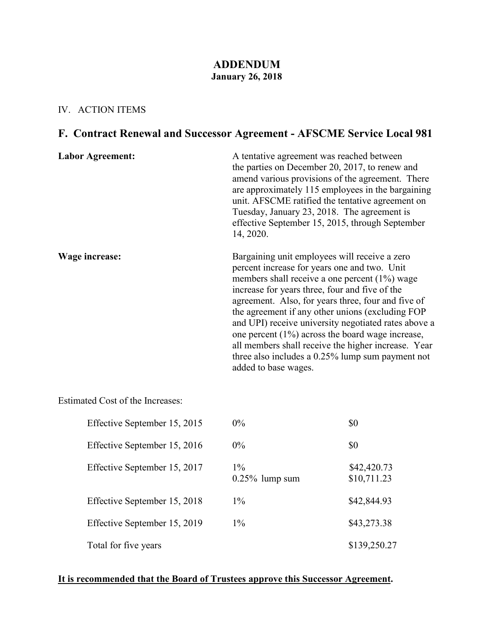#### **ADDENDUM January 26, 2018**

#### IV. ACTION ITEMS

# **F. Contract Renewal and Successor Agreement - AFSCME Service Local 981**

| <b>Labor Agreement:</b> | A tentative agreement was reached between<br>the parties on December 20, 2017, to renew and<br>amend various provisions of the agreement. There<br>are approximately 115 employees in the bargaining<br>unit. AFSCME ratified the tentative agreement on<br>Tuesday, January 23, 2018. The agreement is<br>effective September 15, 2015, through September<br>14, 2020.                                                                                                                                                                                         |
|-------------------------|-----------------------------------------------------------------------------------------------------------------------------------------------------------------------------------------------------------------------------------------------------------------------------------------------------------------------------------------------------------------------------------------------------------------------------------------------------------------------------------------------------------------------------------------------------------------|
| Wage increase:          | Bargaining unit employees will receive a zero<br>percent increase for years one and two. Unit<br>members shall receive a one percent $(1\%)$ wage<br>increase for years three, four and five of the<br>agreement. Also, for years three, four and five of<br>the agreement if any other unions (excluding FOP<br>and UPI) receive university negotiated rates above a<br>one percent $(1\%)$ across the board wage increase,<br>all members shall receive the higher increase. Year<br>three also includes a 0.25% lump sum payment not<br>added to base wages. |

Estimated Cost of the Increases:

| Effective September 15, 2015 | $0\%$                      | \$0                        |
|------------------------------|----------------------------|----------------------------|
| Effective September 15, 2016 | $0\%$                      | \$0                        |
| Effective September 15, 2017 | $1\%$<br>$0.25\%$ lump sum | \$42,420.73<br>\$10,711.23 |
| Effective September 15, 2018 | $1\%$                      | \$42,844.93                |
| Effective September 15, 2019 | $1\%$                      | \$43,273.38                |
| Total for five years         |                            | \$139,250.27               |

### **It is recommended that the Board of Trustees approve this Successor Agreement.**